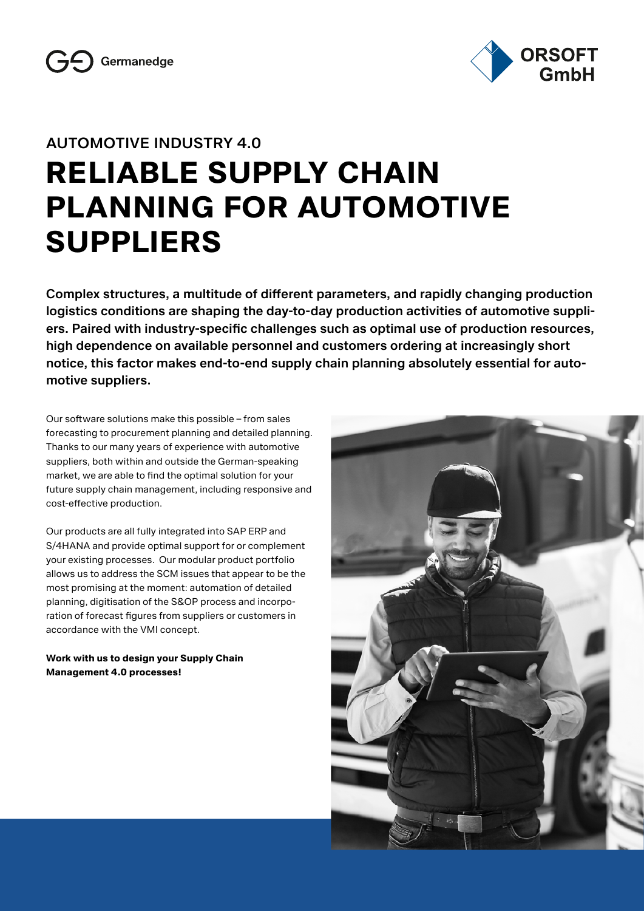



# **AUTOMOTIVE INDUSTRY 4.0 RELIABLE SUPPLY CHAIN PLANNING FOR AUTOMOTIVE SUPPLIERS**

**Complex structures, a multitude of different parameters, and rapidly changing production logistics conditions are shaping the day-to-day production activities of automotive suppliers. Paired with industry-specific challenges such as optimal use of production resources, high dependence on available personnel and customers ordering at increasingly short notice, this factor makes end-to-end supply chain planning absolutely essential for automotive suppliers.**

Our software solutions make this possible – from sales forecasting to procurement planning and detailed planning. Thanks to our many years of experience with automotive suppliers, both within and outside the German-speaking market, we are able to find the optimal solution for your future supply chain management, including responsive and cost-effective production.

Our products are all fully integrated into SAP ERP and S/4HANA and provide optimal support for or complement your existing processes. Our modular product portfolio allows us to address the SCM issues that appear to be the most promising at the moment: automation of detailed planning, digitisation of the S&OP process and incorporation of forecast figures from suppliers or customers in accordance with the VMI concept.

**Work with us to design your Supply Chain Management 4.0 processes!**

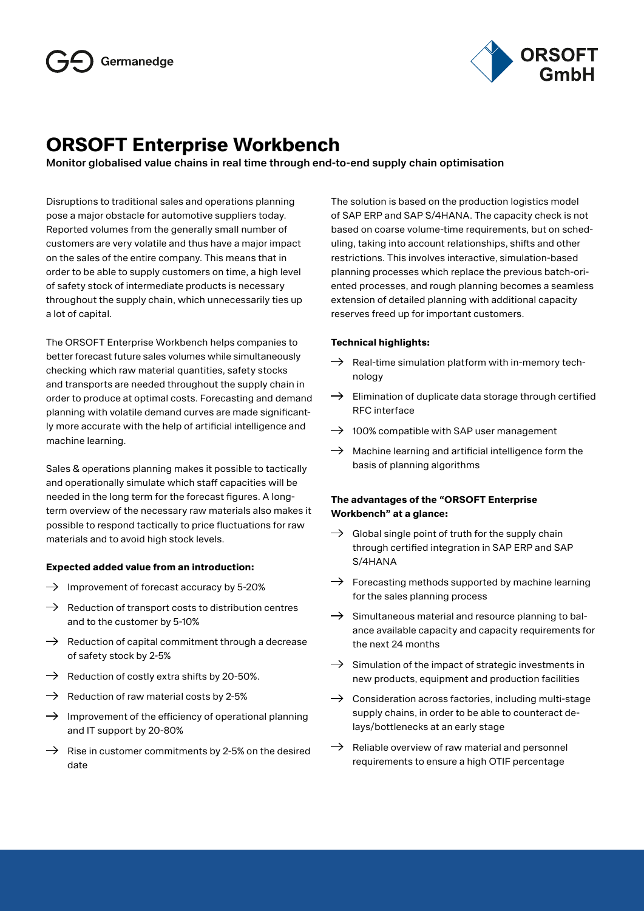

# **ORSOFT Enterprise Workbench**

# **Monitor globalised value chains in real time through end-to-end supply chain optimisation**

Disruptions to traditional sales and operations planning pose a major obstacle for automotive suppliers today. Reported volumes from the generally small number of customers are very volatile and thus have a major impact on the sales of the entire company. This means that in order to be able to supply customers on time, a high level of safety stock of intermediate products is necessary throughout the supply chain, which unnecessarily ties up a lot of capital.

The ORSOFT Enterprise Workbench helps companies to better forecast future sales volumes while simultaneously checking which raw material quantities, safety stocks and transports are needed throughout the supply chain in order to produce at optimal costs. Forecasting and demand planning with volatile demand curves are made significantly more accurate with the help of artificial intelligence and machine learning.

Sales & operations planning makes it possible to tactically and operationally simulate which staff capacities will be needed in the long term for the forecast figures. A longterm overview of the necessary raw materials also makes it possible to respond tactically to price fluctuations for raw materials and to avoid high stock levels.

## **Expected added value from an introduction:**

- $\rightarrow$  Improvement of forecast accuracy by 5-20%
- $\rightarrow$  Reduction of transport costs to distribution centres and to the customer by 5-10%
- $\rightarrow$  Reduction of capital commitment through a decrease of safety stock by 2-5%
- $\rightarrow$  Reduction of costly extra shifts by 20-50%.
- $\rightarrow$  Reduction of raw material costs by 2-5%
- $\rightarrow$  Improvement of the efficiency of operational planning and IT support by 20-80%
- $\rightarrow$  Rise in customer commitments by 2-5% on the desired date

The solution is based on the production logistics model of SAP ERP and SAP S/4HANA. The capacity check is not based on coarse volume-time requirements, but on scheduling, taking into account relationships, shifts and other restrictions. This involves interactive, simulation-based planning processes which replace the previous batch-oriented processes, and rough planning becomes a seamless extension of detailed planning with additional capacity reserves freed up for important customers.

## **Technical highlights:**

- $\rightarrow$  Real-time simulation platform with in-memory technology
- $\rightarrow$  Elimination of duplicate data storage through certified RFC interface
- $\rightarrow$  100% compatible with SAP user management
- $\rightarrow$  Machine learning and artificial intelligence form the basis of planning algorithms

# **The advantages of the "ORSOFT Enterprise Workbench" at a glance:**

- $\rightarrow$  Global single point of truth for the supply chain through certified integration in SAP ERP and SAP S/4HANA
- $\rightarrow$  Forecasting methods supported by machine learning for the sales planning process
- $\rightarrow$  Simultaneous material and resource planning to balance available capacity and capacity requirements for the next 24 months
- $\rightarrow$  Simulation of the impact of strategic investments in new products, equipment and production facilities
- $\rightarrow$  Consideration across factories, including multi-stage supply chains, in order to be able to counteract delays/bottlenecks at an early stage
- $\rightarrow$  Reliable overview of raw material and personnel requirements to ensure a high OTIF percentage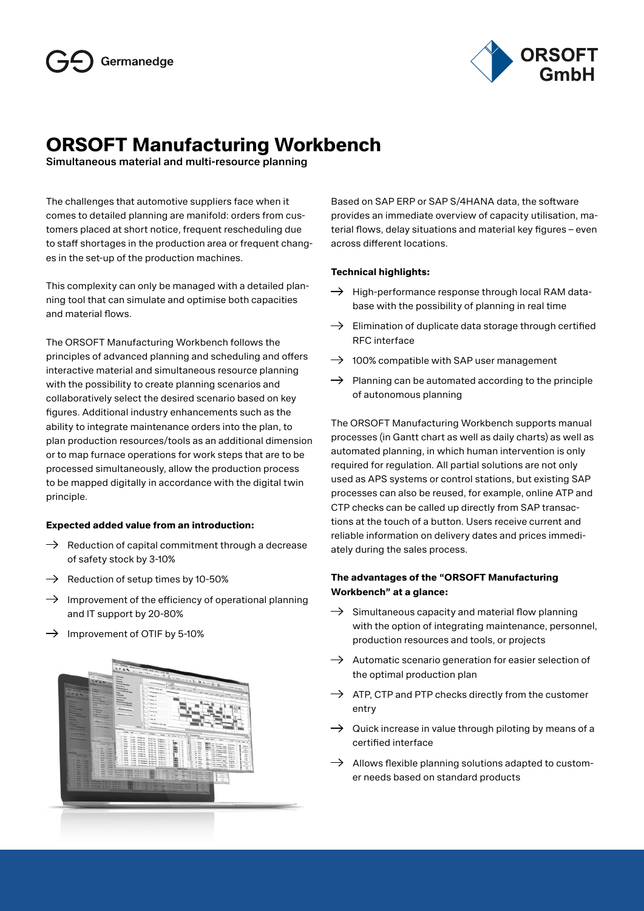

# **ORSOFT Manufacturing Workbench**

**Simultaneous material and multi-resource planning**

The challenges that automotive suppliers face when it comes to detailed planning are manifold: orders from customers placed at short notice, frequent rescheduling due to staff shortages in the production area or frequent changes in the set-up of the production machines.

This complexity can only be managed with a detailed planning tool that can simulate and optimise both capacities and material flows.

The ORSOFT Manufacturing Workbench follows the principles of advanced planning and scheduling and offers interactive material and simultaneous resource planning with the possibility to create planning scenarios and collaboratively select the desired scenario based on key figures. Additional industry enhancements such as the ability to integrate maintenance orders into the plan, to plan production resources/tools as an additional dimension or to map furnace operations for work steps that are to be processed simultaneously, allow the production process to be mapped digitally in accordance with the digital twin principle.

## **Expected added value from an introduction:**

- $\rightarrow$  Reduction of capital commitment through a decrease of safety stock by 3-10%
- $\rightarrow$  Reduction of setup times by 10-50%
- $\rightarrow$  Improvement of the efficiency of operational planning and IT support by 20-80%
- $\rightarrow$  Improvement of OTIF by 5-10%



Based on SAP ERP or SAP S/4HANA data, the software provides an immediate overview of capacity utilisation, material flows, delay situations and material key figures – even across different locations.

# **Technical highlights:**

- $\rightarrow$  High-performance response through local RAM database with the possibility of planning in real time
- $\rightarrow$  Elimination of duplicate data storage through certified RFC interface
- $\rightarrow$  100% compatible with SAP user management
- $\rightarrow$  Planning can be automated according to the principle of autonomous planning

The ORSOFT Manufacturing Workbench supports manual processes (in Gantt chart as well as daily charts) as well as automated planning, in which human intervention is only required for regulation. All partial solutions are not only used as APS systems or control stations, but existing SAP processes can also be reused, for example, online ATP and CTP checks can be called up directly from SAP transactions at the touch of a button. Users receive current and reliable information on delivery dates and prices immediately during the sales process.

# **The advantages of the "ORSOFT Manufacturing Workbench" at a glance:**

- $\rightarrow$  Simultaneous capacity and material flow planning with the option of integrating maintenance, personnel, production resources and tools, or projects
- $\rightarrow$  Automatic scenario generation for easier selection of the optimal production plan
- $\rightarrow$  ATP, CTP and PTP checks directly from the customer entry
- $\rightarrow$  Quick increase in value through piloting by means of a certified interface
- $\rightarrow$  Allows flexible planning solutions adapted to customer needs based on standard products